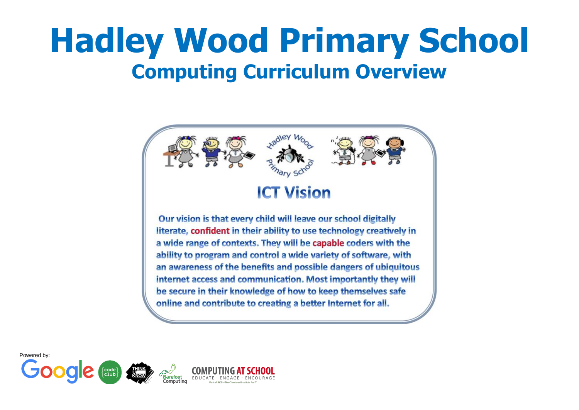# **Hadley Wood Primary School Computing Curriculum Overview**

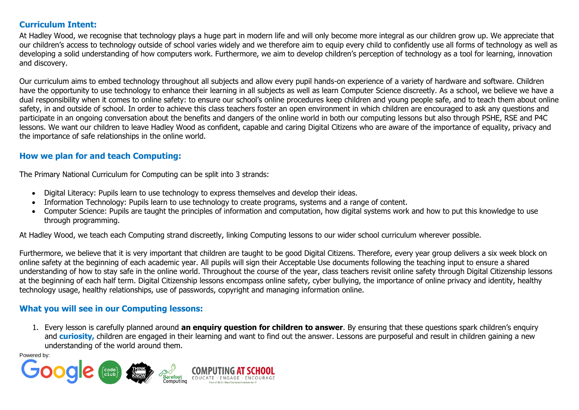#### **Curriculum Intent:**

At Hadley Wood, we recognise that technology plays a huge part in modern life and will only become more integral as our children grow up. We appreciate that our children's access to technology outside of school varies widely and we therefore aim to equip every child to confidently use all forms of technology as well as developing a solid understanding of how computers work. Furthermore, we aim to develop children's perception of technology as a tool for learning, innovation and discovery.

Our curriculum aims to embed technology throughout all subjects and allow every pupil hands-on experience of a variety of hardware and software. Children have the opportunity to use technology to enhance their learning in all subjects as well as learn Computer Science discreetly. As a school, we believe we have a dual responsibility when it comes to online safety: to ensure our school's online procedures keep children and young people safe, and to teach them about online safety, in and outside of school. In order to achieve this class teachers foster an open environment in which children are encouraged to ask any questions and participate in an ongoing conversation about the benefits and dangers of the online world in both our computing lessons but also through PSHE, RSE and P4C lessons. We want our children to leave Hadley Wood as confident, capable and caring Digital Citizens who are aware of the importance of equality, privacy and the importance of safe relationships in the online world.

#### **How we plan for and teach Computing:**

The Primary National Curriculum for Computing can be split into 3 strands:

- Digital Literacy: Pupils learn to use technology to express themselves and develop their ideas.
- Information Technology: Pupils learn to use technology to create programs, systems and a range of content.
- Computer Science: Pupils are taught the principles of information and computation, how digital systems work and how to put this knowledge to use through programming.

At Hadley Wood, we teach each Computing strand discreetly, linking Computing lessons to our wider school curriculum wherever possible.

Furthermore, we believe that it is very important that children are taught to be good Digital Citizens. Therefore, every year group delivers a six week block on online safety at the beginning of each academic year. All pupils will sign their Acceptable Use documents following the teaching input to ensure a shared understanding of how to stay safe in the online world. Throughout the course of the year, class teachers revisit online safety through Digital Citizenship lessons at the beginning of each half term. Digital Citizenship lessons encompass online safety, cyber bullying, the importance of online privacy and identity, healthy technology usage, healthy relationships, use of passwords, copyright and managing information online.

### **What you will see in our Computing lessons:**

1. Every lesson is carefully planned around **an enquiry question for children to answer**. By ensuring that these questions spark children's enquiry and **curiosity**, children are engaged in their learning and want to find out the answer. Lessons are purposeful and result in children gaining a new understanding of the world around them.

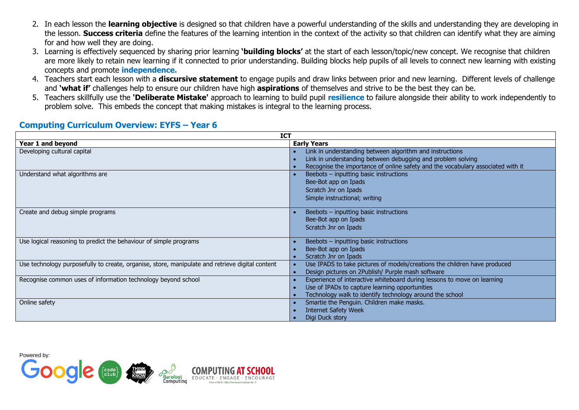- 2. In each lesson the **learning objective** is designed so that children have a powerful understanding of the skills and understanding they are developing in the lesson. **Success criteria** define the features of the learning intention in the context of the activity so that children can identify what they are aiming for and how well they are doing.
- 3. Learning is effectively sequenced by sharing prior learning **'building blocks'** at the start of each lesson/topic/new concept. We recognise that children are more likely to retain new learning if it connected to prior understanding. Building blocks help pupils of all levels to connect new learning with existing concepts and promote **independence.**
- 4. Teachers start each lesson with a **discursive statement** to engage pupils and draw links between prior and new learning. Different levels of challenge and **'what if'** challenges help to ensure our children have high **aspirations** of themselves and strive to be the best they can be.
- 5. Teachers skillfully use the **'Deliberate Mistake'** approach to learning to build pupil **resilience** to failure alongside their ability to work independently to problem solve. This embeds the concept that making mistakes is integral to the learning process.

| <b>ICT</b>                                                                                      |                                                                                 |  |  |  |  |  |
|-------------------------------------------------------------------------------------------------|---------------------------------------------------------------------------------|--|--|--|--|--|
| Year 1 and beyond                                                                               | <b>Early Years</b>                                                              |  |  |  |  |  |
| Developing cultural capital                                                                     | Link in understanding between algorithm and instructions                        |  |  |  |  |  |
|                                                                                                 | Link in understanding between debugging and problem solving                     |  |  |  |  |  |
|                                                                                                 | Recognise the importance of online safety and the vocabulary associated with it |  |  |  |  |  |
| Understand what algorithms are                                                                  | Beebots - inputting basic instructions                                          |  |  |  |  |  |
|                                                                                                 | Bee-Bot app on Ipads                                                            |  |  |  |  |  |
|                                                                                                 | Scratch Jnr on Ipads                                                            |  |  |  |  |  |
|                                                                                                 | Simple instructional; writing                                                   |  |  |  |  |  |
|                                                                                                 |                                                                                 |  |  |  |  |  |
| Create and debug simple programs                                                                | Beebots - inputting basic instructions                                          |  |  |  |  |  |
|                                                                                                 | Bee-Bot app on Ipads                                                            |  |  |  |  |  |
|                                                                                                 | Scratch Jnr on Ipads                                                            |  |  |  |  |  |
|                                                                                                 |                                                                                 |  |  |  |  |  |
| Use logical reasoning to predict the behaviour of simple programs                               | Beebots - inputting basic instructions                                          |  |  |  |  |  |
|                                                                                                 | Bee-Bot app on Ipads                                                            |  |  |  |  |  |
|                                                                                                 | Scratch Jnr on Ipads                                                            |  |  |  |  |  |
| Use technology purposefully to create, organise, store, manipulate and retrieve digital content | Use IPADS to take pictures of models/creations the children have produced       |  |  |  |  |  |
|                                                                                                 | Design pictures on 2Publish/ Purple mash software                               |  |  |  |  |  |
| Recognise common uses of information technology beyond school                                   | Experience of interactive whiteboard during lessons to move on learning         |  |  |  |  |  |
|                                                                                                 | Use of IPADs to capture learning opportunities                                  |  |  |  |  |  |
|                                                                                                 | Technology walk to identify technology around the school                        |  |  |  |  |  |
| Online safety                                                                                   | Smartie the Penguin. Children make masks.                                       |  |  |  |  |  |
|                                                                                                 | <b>Internet Safety Week</b>                                                     |  |  |  |  |  |
|                                                                                                 | Digi Duck story                                                                 |  |  |  |  |  |

### **Computing Curriculum Overview: EYFS – Year 6**

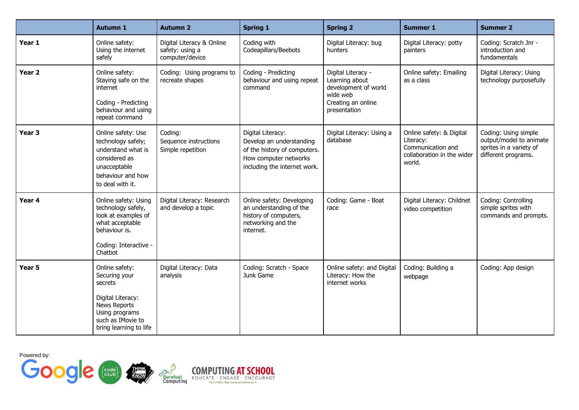|                   | <b>Autumn 1</b>                                                                                                                                         | <b>Autumn 2</b>                                                 | <b>Spring 1</b>                                                                                                                        | <b>Spring 2</b>                                                                                                | <b>Summer 1</b>                                                                                    | <b>Summer 2</b>                                                                                   |
|-------------------|---------------------------------------------------------------------------------------------------------------------------------------------------------|-----------------------------------------------------------------|----------------------------------------------------------------------------------------------------------------------------------------|----------------------------------------------------------------------------------------------------------------|----------------------------------------------------------------------------------------------------|---------------------------------------------------------------------------------------------------|
| Year 1            | Online safety:<br>Using the internet<br>safely                                                                                                          | Digital Literacy & Online<br>safety: using a<br>computer/device | Coding with<br>Codeapillars/Beebots                                                                                                    | Digital Literacy: bug<br>hunters                                                                               | Digital Literacy: potty<br>painters                                                                | Coding: Scratch Jnr -<br>introduction and<br>fundamentals                                         |
| Year <sub>2</sub> | Online safety:<br>Staying safe on the<br>internet<br>Coding - Predicting<br>behaviour and using<br>repeat command                                       | Coding: Using programs to<br>recreate shapes                    | Coding - Predicting<br>behaviour and using repeat<br>command                                                                           | Digital Literacy -<br>Learning about<br>development of world<br>wide web<br>Creating an online<br>presentation | Online safety: Emailing<br>as a class                                                              | Digital Literacy: Using<br>technology purposefully                                                |
| Year <sub>3</sub> | Online safety: Use<br>technology safely;<br>understand what is<br>considered as<br>unacceptable<br>behaviour and how<br>to deal with it.                | Coding:<br>Sequence instructions<br>Simple repetition           | Digital Literacy:<br>Develop an understanding<br>of the history of computers.<br>How computer networks<br>including the internet work. | Digital Literacy: Using a<br>database                                                                          | Online safety: & Digital<br>Literacy:<br>Communication and<br>collaboration in the wider<br>world. | Coding: Using simple<br>output/model to animate<br>sprites in a variety of<br>different programs. |
| Year 4            | Online safety: Using<br>technology safely,<br>look at examples of<br>what acceptable<br>behaviour is.<br>Coding: Interactive -<br>Chatbot               | Digital Literacy: Research<br>and develop a topic               | Online safety: Developing<br>an understanding of the<br>history of computers,<br>networking and the<br>internet.                       | Coding: Game - Boat<br>race                                                                                    | Digital Literacy: Childnet<br>video competition                                                    | Coding: Controlling<br>simple sprites with<br>commands and prompts.                               |
| Year 5            | Online safety:<br>Securing your<br>secrets<br>Digital Literacy:<br><b>News Reports</b><br>Using programs<br>such as IMovie to<br>bring learning to life | Digital Literacy: Data<br>analysis                              | Coding: Scratch - Space<br>Junk Game                                                                                                   | Online safety: and Digital<br>Literacy: How the<br>internet works                                              | Coding: Building a<br>webpage                                                                      | Coding: App design                                                                                |

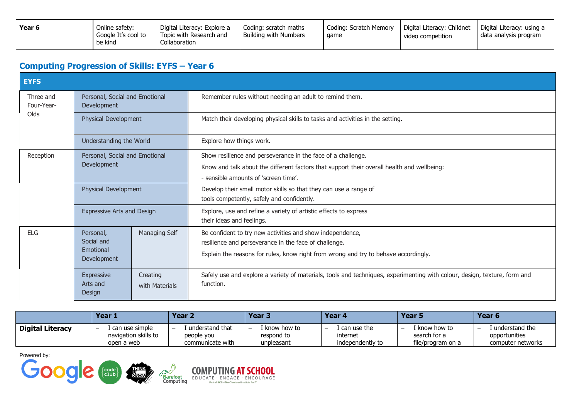| Year 6 | Online safety:<br>Google It's cool to<br>be kind | Digital Literacy: Explore a<br>Topic with Research and<br>Collaboration | Coding: scratch maths<br>Building with Numbers | Coding: Scratch Memory<br>qame | Digital Literacy: Childnet<br>video competition | Digital Literacy: using a<br>data analysis program |
|--------|--------------------------------------------------|-------------------------------------------------------------------------|------------------------------------------------|--------------------------------|-------------------------------------------------|----------------------------------------------------|
|--------|--------------------------------------------------|-------------------------------------------------------------------------|------------------------------------------------|--------------------------------|-------------------------------------------------|----------------------------------------------------|

## **Computing Progression of Skills: EYFS – Year 6**

| <b>EYFS</b>                                                              |                                                                      |                            |                                                                                                                                                                                                           |  |  |  |  |  |
|--------------------------------------------------------------------------|----------------------------------------------------------------------|----------------------------|-----------------------------------------------------------------------------------------------------------------------------------------------------------------------------------------------------------|--|--|--|--|--|
| Personal, Social and Emotional<br>Three and<br>Four-Year-<br>Development |                                                                      |                            | Remember rules without needing an adult to remind them.                                                                                                                                                   |  |  |  |  |  |
| Olds                                                                     | Physical Development                                                 |                            | Match their developing physical skills to tasks and activities in the setting.                                                                                                                            |  |  |  |  |  |
|                                                                          | Understanding the World                                              |                            | Explore how things work.                                                                                                                                                                                  |  |  |  |  |  |
| Reception                                                                | Personal, Social and Emotional<br>Development                        |                            | Show resilience and perseverance in the face of a challenge.<br>Know and talk about the different factors that support their overall health and wellbeing:<br>- sensible amounts of 'screen time'.        |  |  |  |  |  |
| Physical Development                                                     |                                                                      |                            | Develop their small motor skills so that they can use a range of<br>tools competently, safely and confidently.                                                                                            |  |  |  |  |  |
| <b>Expressive Arts and Design</b>                                        |                                                                      |                            | Explore, use and refine a variety of artistic effects to express<br>their ideas and feelings.                                                                                                             |  |  |  |  |  |
| FIG                                                                      | Managing Self<br>Personal,<br>Social and<br>Emotional<br>Development |                            | Be confident to try new activities and show independence,<br>resilience and perseverance in the face of challenge.<br>Explain the reasons for rules, know right from wrong and try to behave accordingly. |  |  |  |  |  |
|                                                                          | Expressive<br>Arts and<br>Design                                     | Creating<br>with Materials | Safely use and explore a variety of materials, tools and techniques, experimenting with colour, design, texture, form and<br>function.                                                                    |  |  |  |  |  |

|                  | Year 1                                                                             | Year 2                                                                        | Year <sub>3</sub>                              | Year <sub>4</sub>                               | Year 5                                                  | Year 6                                               |
|------------------|------------------------------------------------------------------------------------|-------------------------------------------------------------------------------|------------------------------------------------|-------------------------------------------------|---------------------------------------------------------|------------------------------------------------------|
| Digital Literacy | l can use simple<br>$\overline{\phantom{0}}$<br>navigation skills to<br>open a web | understand that<br>$\overline{\phantom{0}}$<br>people you<br>communicate with | . know how to<br>-<br>respond to<br>unpleasant | l can use the l<br>internet<br>independently to | l know how to<br>-<br>search for a<br>file/program on a | understand the<br>opportunities<br>computer networks |



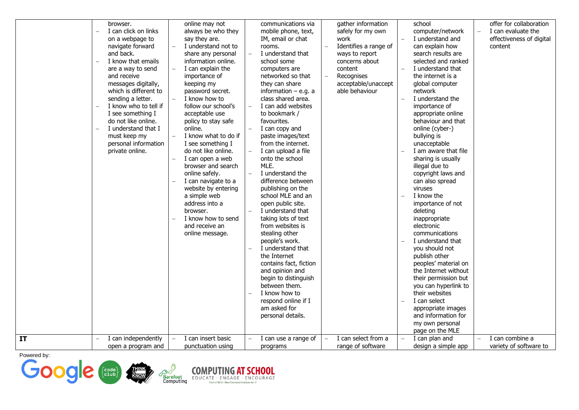|    | browser.<br>I can click on links<br>on a webpage to<br>navigate forward<br>and back.<br>I know that emails<br>are a way to send<br>and receive<br>messages digitally,<br>which is different to<br>sending a letter.<br>I know who to tell if<br>I see something I<br>do not like online.<br>I understand that I<br>must keep my<br>personal information<br>private online. | $\overline{a}$ | online may not<br>always be who they<br>say they are.<br>I understand not to<br>share any personal<br>information online.<br>I can explain the<br>importance of<br>keeping my<br>password secret.<br>I know how to<br>follow our school's<br>acceptable use<br>policy to stay safe<br>online.<br>I know what to do if<br>I see something I<br>do not like online.<br>I can open a web<br>browser and search<br>online safely.<br>I can navigate to a<br>website by entering<br>a simple web<br>address into a<br>browser. | $\equiv$ | communications via<br>mobile phone, text,<br>IM, email or chat<br>rooms.<br>I understand that<br>school some<br>computers are<br>networked so that<br>they can share<br>information $-$ e.g. a<br>class shared area.<br>I can add websites<br>to bookmark /<br>favourites.<br>I can copy and<br>paste images/text<br>from the internet.<br>I can upload a file<br>onto the school<br>MLE.<br>I understand the<br>difference between<br>publishing on the<br>school MLE and an<br>open public site.<br>I understand that | gather information<br>safely for my own<br>work<br>Identifies a range of<br>ways to report<br>concerns about<br>content<br>Recognises<br>acceptable/unaccept<br>able behaviour | school<br>computer/network<br>I understand and<br>can explain how<br>search results are<br>selected and ranked<br>I understand that<br>the internet is a<br>global computer<br>network<br>I understand the<br>importance of<br>appropriate online<br>behaviour and that<br>online (cyber-)<br>bullying is<br>unacceptable<br>I am aware that file<br>sharing is usually<br>illegal due to<br>copyright laws and<br>can also spread<br>viruses<br>I know the<br>importance of not<br>deleting | offer for collaboration<br>I can evaluate the<br>effectiveness of digital<br>content |
|----|----------------------------------------------------------------------------------------------------------------------------------------------------------------------------------------------------------------------------------------------------------------------------------------------------------------------------------------------------------------------------|----------------|---------------------------------------------------------------------------------------------------------------------------------------------------------------------------------------------------------------------------------------------------------------------------------------------------------------------------------------------------------------------------------------------------------------------------------------------------------------------------------------------------------------------------|----------|-------------------------------------------------------------------------------------------------------------------------------------------------------------------------------------------------------------------------------------------------------------------------------------------------------------------------------------------------------------------------------------------------------------------------------------------------------------------------------------------------------------------------|--------------------------------------------------------------------------------------------------------------------------------------------------------------------------------|----------------------------------------------------------------------------------------------------------------------------------------------------------------------------------------------------------------------------------------------------------------------------------------------------------------------------------------------------------------------------------------------------------------------------------------------------------------------------------------------|--------------------------------------------------------------------------------------|
|    |                                                                                                                                                                                                                                                                                                                                                                            |                |                                                                                                                                                                                                                                                                                                                                                                                                                                                                                                                           |          |                                                                                                                                                                                                                                                                                                                                                                                                                                                                                                                         |                                                                                                                                                                                |                                                                                                                                                                                                                                                                                                                                                                                                                                                                                              |                                                                                      |
|    |                                                                                                                                                                                                                                                                                                                                                                            |                |                                                                                                                                                                                                                                                                                                                                                                                                                                                                                                                           |          |                                                                                                                                                                                                                                                                                                                                                                                                                                                                                                                         |                                                                                                                                                                                |                                                                                                                                                                                                                                                                                                                                                                                                                                                                                              |                                                                                      |
|    |                                                                                                                                                                                                                                                                                                                                                                            |                |                                                                                                                                                                                                                                                                                                                                                                                                                                                                                                                           |          |                                                                                                                                                                                                                                                                                                                                                                                                                                                                                                                         |                                                                                                                                                                                |                                                                                                                                                                                                                                                                                                                                                                                                                                                                                              |                                                                                      |
|    |                                                                                                                                                                                                                                                                                                                                                                            |                | I know how to send<br>and receive an<br>online message.                                                                                                                                                                                                                                                                                                                                                                                                                                                                   |          | taking lots of text<br>from websites is<br>stealing other                                                                                                                                                                                                                                                                                                                                                                                                                                                               |                                                                                                                                                                                | inappropriate<br>electronic<br>communications                                                                                                                                                                                                                                                                                                                                                                                                                                                |                                                                                      |
|    |                                                                                                                                                                                                                                                                                                                                                                            |                |                                                                                                                                                                                                                                                                                                                                                                                                                                                                                                                           |          | people's work.<br>I understand that<br>the Internet<br>contains fact, fiction<br>and opinion and<br>begin to distinguish                                                                                                                                                                                                                                                                                                                                                                                                |                                                                                                                                                                                | I understand that<br>you should not<br>publish other<br>peoples' material on<br>the Internet without<br>their permission but                                                                                                                                                                                                                                                                                                                                                                 |                                                                                      |
|    |                                                                                                                                                                                                                                                                                                                                                                            |                |                                                                                                                                                                                                                                                                                                                                                                                                                                                                                                                           |          | between them.<br>I know how to<br>respond online if I<br>am asked for<br>personal details.                                                                                                                                                                                                                                                                                                                                                                                                                              |                                                                                                                                                                                | you can hyperlink to<br>their websites<br>I can select<br>appropriate images<br>and information for                                                                                                                                                                                                                                                                                                                                                                                          |                                                                                      |
| IT | I can independently                                                                                                                                                                                                                                                                                                                                                        |                | I can insert basic                                                                                                                                                                                                                                                                                                                                                                                                                                                                                                        |          | I can use a range of                                                                                                                                                                                                                                                                                                                                                                                                                                                                                                    | I can select from a                                                                                                                                                            | my own personal<br>page on the MLE<br>I can plan and                                                                                                                                                                                                                                                                                                                                                                                                                                         | I can combine a                                                                      |
|    | open a program and                                                                                                                                                                                                                                                                                                                                                         |                | punctuation using                                                                                                                                                                                                                                                                                                                                                                                                                                                                                                         |          | programs                                                                                                                                                                                                                                                                                                                                                                                                                                                                                                                | range of software                                                                                                                                                              | design a simple app                                                                                                                                                                                                                                                                                                                                                                                                                                                                          | variety of software to                                                               |





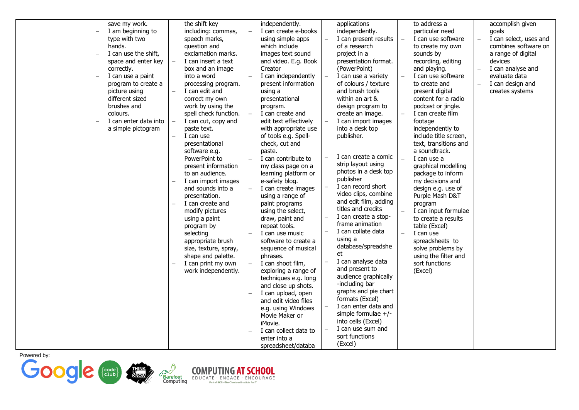|  | save my work.<br>I am beginning to<br>type with two | the shift key<br>including: commas,<br>speech marks, | independently.<br>I can create e-books<br>using simple apps |                          | applications<br>independently.<br>I can present results | to address a<br>particular need<br>I can use software | $\overline{\phantom{0}}$ | accomplish given<br>goals<br>I can select, uses and |
|--|-----------------------------------------------------|------------------------------------------------------|-------------------------------------------------------------|--------------------------|---------------------------------------------------------|-------------------------------------------------------|--------------------------|-----------------------------------------------------|
|  | hands.                                              | question and                                         | which include                                               |                          | of a research                                           | to create my own                                      |                          | combines software on                                |
|  | I can use the shift,                                | exclamation marks.                                   | images text sound                                           |                          | project in a                                            | sounds by                                             |                          | a range of digital                                  |
|  | space and enter key                                 | I can insert a text                                  | and video. E.g. Book                                        |                          | presentation format.                                    | recording, editing                                    |                          | devices                                             |
|  | correctly.                                          | box and an image                                     | Creator                                                     |                          | (PowerPoint)                                            | and playing.                                          | $\overline{\phantom{a}}$ | I can analyse and                                   |
|  | I can use a paint                                   | into a word                                          | I can independently                                         |                          | I can use a variety                                     | I can use software                                    |                          | evaluate data                                       |
|  | program to create a                                 | processing program.                                  | present information                                         |                          | of colours / texture                                    | to create and                                         | $\equiv$                 | I can design and                                    |
|  | picture using                                       | I can edit and                                       | using a                                                     |                          | and brush tools                                         | present digital                                       |                          | creates systems                                     |
|  | different sized                                     | correct my own                                       | presentational                                              |                          | within an art &                                         | content for a radio                                   |                          |                                                     |
|  | brushes and                                         | work by using the                                    | program.                                                    |                          | design program to                                       | podcast or jingle.                                    |                          |                                                     |
|  | colours.<br>I can enter data into                   | spell check function.                                | I can create and<br>edit text effectively                   |                          | create an image.                                        | I can create film<br>footage                          |                          |                                                     |
|  | a simple pictogram                                  | I can cut, copy and<br>paste text.                   | with appropriate use                                        | $\overline{\phantom{a}}$ | I can import images<br>into a desk top                  | independently to                                      |                          |                                                     |
|  |                                                     | I can use                                            | of tools e.g. Spell-                                        |                          | publisher.                                              | include title screen,                                 |                          |                                                     |
|  |                                                     | presentational                                       | check, cut and                                              |                          |                                                         | text, transitions and                                 |                          |                                                     |
|  |                                                     | software e.g.                                        | paste.                                                      |                          |                                                         | a soundtrack.                                         |                          |                                                     |
|  |                                                     | PowerPoint to                                        | I can contribute to                                         |                          | I can create a comic                                    | I can use a                                           |                          |                                                     |
|  |                                                     | present information                                  | my class page on a                                          |                          | strip layout using                                      | graphical modelling                                   |                          |                                                     |
|  |                                                     | to an audience.                                      | learning platform or                                        |                          | photos in a desk top                                    | package to inform                                     |                          |                                                     |
|  |                                                     | I can import images                                  | e-safety blog.                                              |                          | publisher                                               | my decisions and                                      |                          |                                                     |
|  |                                                     | and sounds into a                                    | I can create images                                         |                          | I can record short                                      | design e.g. use of                                    |                          |                                                     |
|  |                                                     | presentation.                                        | using a range of                                            |                          | video clips, combine                                    | Purple Mash D&T                                       |                          |                                                     |
|  |                                                     | I can create and                                     | paint programs                                              |                          | and edit film, adding                                   | program                                               |                          |                                                     |
|  |                                                     | modify pictures                                      | using the select,                                           |                          | titles and credits                                      | I can input formulae                                  |                          |                                                     |
|  |                                                     | using a paint                                        | draw, paint and                                             |                          | I can create a stop-<br>frame animation                 | to create a results                                   |                          |                                                     |
|  |                                                     | program by                                           | repeat tools.                                               | $\equiv$                 | I can collate data                                      | table (Excel)                                         |                          |                                                     |
|  |                                                     | selecting                                            | I can use music                                             |                          | using a                                                 | I can use                                             |                          |                                                     |
|  |                                                     | appropriate brush                                    | software to create a                                        |                          | database/spreadshe                                      | spreadsheets to                                       |                          |                                                     |
|  |                                                     | size, texture, spray,                                | sequence of musical                                         |                          | et                                                      | solve problems by                                     |                          |                                                     |
|  |                                                     | shape and palette.<br>I can print my own             | phrases.<br>I can shoot film,                               |                          | I can analyse data                                      | using the filter and<br>sort functions                |                          |                                                     |
|  |                                                     | work independently.                                  | exploring a range of                                        |                          | and present to                                          | (Excel)                                               |                          |                                                     |
|  |                                                     |                                                      | techniques e.g. long                                        |                          | audience graphically                                    |                                                       |                          |                                                     |
|  |                                                     |                                                      | and close up shots.                                         |                          | -including bar                                          |                                                       |                          |                                                     |
|  |                                                     |                                                      | I can upload, open                                          |                          | graphs and pie chart                                    |                                                       |                          |                                                     |
|  |                                                     |                                                      | and edit video files                                        |                          | formats (Excel)                                         |                                                       |                          |                                                     |
|  |                                                     |                                                      | e.g. using Windows                                          |                          | I can enter data and                                    |                                                       |                          |                                                     |
|  |                                                     |                                                      | Movie Maker or                                              |                          | simple formulae $+/-$                                   |                                                       |                          |                                                     |
|  |                                                     |                                                      | iMovie.                                                     |                          | into cells (Excel)                                      |                                                       |                          |                                                     |
|  |                                                     |                                                      | I can collect data to                                       | $\overline{\phantom{a}}$ | I can use sum and                                       |                                                       |                          |                                                     |
|  |                                                     |                                                      | enter into a                                                |                          | sort functions                                          |                                                       |                          |                                                     |
|  |                                                     |                                                      | spreadsheet/databa                                          |                          | (Excel)                                                 |                                                       |                          |                                                     |



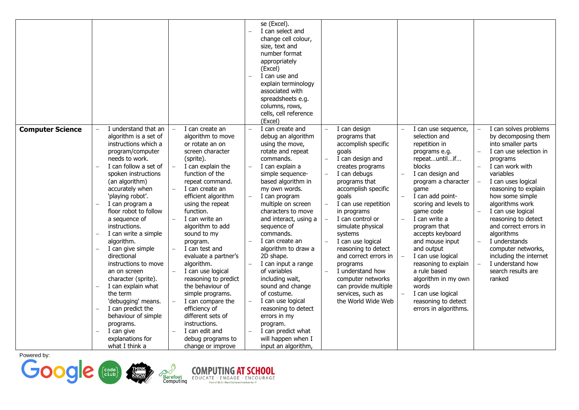|                         |                                                                                                                                                                                                                                                                                                                                                                                                                                                                                                                                                                                                                                                                                                                           |                                                                                                                                                                                                                                                                                                                                                                                                                                                                                                                                                                                      | se (Excel).<br>I can select and<br>change cell colour,<br>size, text and<br>number format<br>appropriately<br>(Excel)<br>I can use and<br>$\overline{\phantom{0}}$<br>explain terminology<br>associated with<br>spreadsheets e.g.<br>columns, rows,<br>cells, cell reference<br>(Excel)                                                                                                                                                                                                                                                                                                                                        |                                                                                                                                                                                                                                                                                                                                                                                                                                                                |                                                                                                                                                                                                                                                                                                                                                                                                                                                                               |                                                                                                                                                                                                                                                                                                                                                                                                                                                                                                                              |
|-------------------------|---------------------------------------------------------------------------------------------------------------------------------------------------------------------------------------------------------------------------------------------------------------------------------------------------------------------------------------------------------------------------------------------------------------------------------------------------------------------------------------------------------------------------------------------------------------------------------------------------------------------------------------------------------------------------------------------------------------------------|--------------------------------------------------------------------------------------------------------------------------------------------------------------------------------------------------------------------------------------------------------------------------------------------------------------------------------------------------------------------------------------------------------------------------------------------------------------------------------------------------------------------------------------------------------------------------------------|--------------------------------------------------------------------------------------------------------------------------------------------------------------------------------------------------------------------------------------------------------------------------------------------------------------------------------------------------------------------------------------------------------------------------------------------------------------------------------------------------------------------------------------------------------------------------------------------------------------------------------|----------------------------------------------------------------------------------------------------------------------------------------------------------------------------------------------------------------------------------------------------------------------------------------------------------------------------------------------------------------------------------------------------------------------------------------------------------------|-------------------------------------------------------------------------------------------------------------------------------------------------------------------------------------------------------------------------------------------------------------------------------------------------------------------------------------------------------------------------------------------------------------------------------------------------------------------------------|------------------------------------------------------------------------------------------------------------------------------------------------------------------------------------------------------------------------------------------------------------------------------------------------------------------------------------------------------------------------------------------------------------------------------------------------------------------------------------------------------------------------------|
| <b>Computer Science</b> | I understand that an<br>algorithm is a set of<br>instructions which a<br>program/computer<br>needs to work.<br>I can follow a set of<br>spoken instructions<br>(an algorithm)<br>accurately when<br>'playing robot'.<br>I can program a<br>$\qquad \qquad -$<br>floor robot to follow<br>a sequence of<br>instructions.<br>I can write a simple<br>$\overline{\phantom{m}}$<br>algorithm.<br>I can give simple<br>$\overline{\phantom{0}}$<br>directional<br>instructions to move<br>an on screen<br>character (sprite).<br>I can explain what<br>the term<br>'debugging' means.<br>I can predict the<br>behaviour of simple<br>programs.<br>I can give<br>$\overline{\phantom{m}}$<br>explanations for<br>what I think a | I can create an<br>algorithm to move<br>or rotate an on<br>screen character<br>(sprite).<br>I can explain the<br>function of the<br>repeat command.<br>I can create an<br>efficient algorithm<br>using the repeat<br>function.<br>I can write an<br>algorithm to add<br>sound to my<br>program.<br>I can test and<br>evaluate a partner's<br>algorithm.<br>I can use logical<br>reasoning to predict<br>the behaviour of<br>simple programs.<br>I can compare the<br>efficiency of<br>different sets of<br>instructions.<br>I can edit and<br>debug programs to<br>change or improve | I can create and<br>$\equiv$<br>debug an algorithm<br>using the move,<br>rotate and repeat<br>commands.<br>I can explain a<br>$\equiv$<br>simple sequence-<br>based algorithm in<br>my own words.<br>I can program<br>multiple on screen<br>characters to move<br>and interact, using a<br>sequence of<br>commands.<br>I can create an<br>algorithm to draw a<br>2D shape.<br>I can input a range<br>of variables<br>including wait,<br>sound and change<br>of costume.<br>I can use logical<br>$\equiv$<br>reasoning to detect<br>errors in my<br>program.<br>I can predict what<br>will happen when I<br>input an algorithm, | I can design<br>programs that<br>accomplish specific<br>goals<br>I can design and<br>creates programs<br>I can debugs<br>programs that<br>accomplish specific<br>goals<br>I can use repetition<br>in programs<br>I can control or<br>simulate physical<br>systems<br>I can use logical<br>reasoning to detect<br>and correct errors in<br>programs<br>I understand how<br>computer networks<br>can provide multiple<br>services, such as<br>the World Wide Web | I can use sequence,<br>selection and<br>repetition in<br>programs e.g.<br>repeatuntilif<br><b>blocks</b><br>I can design and<br>program a character<br>game<br>I can add point-<br>scoring and levels to<br>game code<br>I can write a<br>program that<br>accepts keyboard<br>and mouse input<br>and output<br>I can use logical<br>reasoning to explain<br>a rule based<br>algorithm in my own<br>words<br>I can use logical<br>reasoning to detect<br>errors in algorithms. | I can solves problems<br>$\equiv$<br>by decomposing them<br>into smaller parts<br>I can use selection in<br>$\equiv$<br>programs<br>I can work with<br>$\equiv$<br>variables<br>I can uses logical<br>$\equiv$<br>reasoning to explain<br>how some simple<br>algorithms work<br>I can use logical<br>$\overline{\phantom{0}}$<br>reasoning to detect<br>and correct errors in<br>algorithms<br>I understands<br>computer networks,<br>including the internet<br>I understand how<br>$\equiv$<br>search results are<br>ranked |